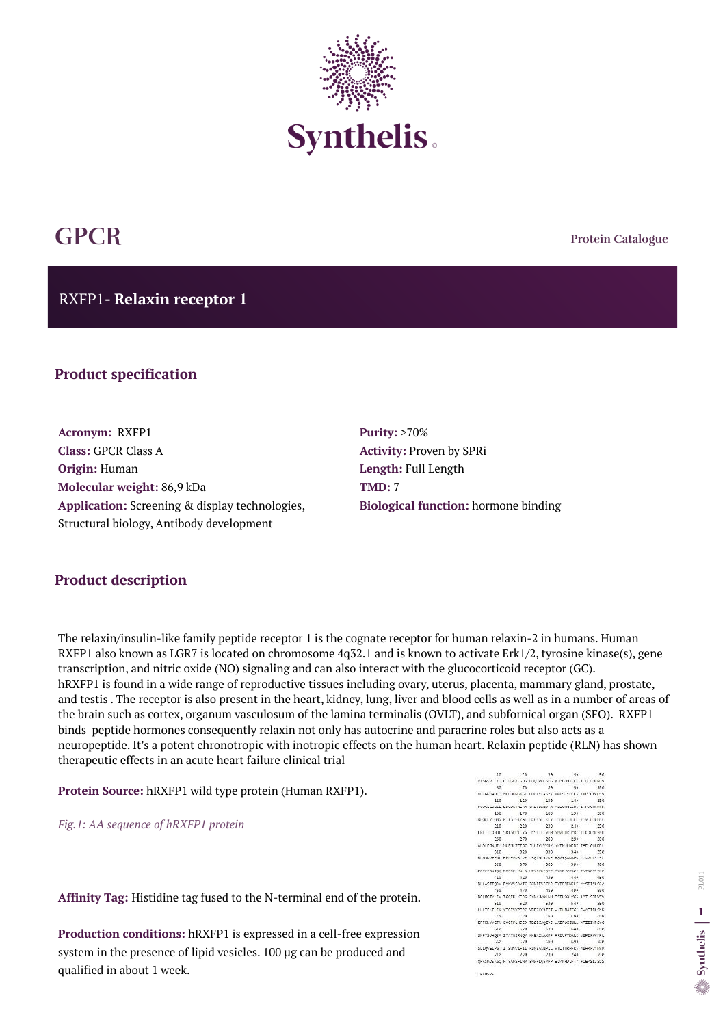**Protein Catalogue**

RXFP1**- Relaxin receptor 1**



# **GPCR**

#### **Product specification**

**Acronym:** RXFP1 **Class:** GPCR Class A **Origin:** Human **Molecular weight:** 86,9 kDa **Application:** Screening & display technologies, Structural biology, Antibody development

**Purity:** >70% **Activity:** Proven by SPRi **Length:** Full Length **TMD:** 7 **Biological function:** hormone binding

The relaxin/insulin-like family peptide receptor 1 is the cognate receptor for human relaxin-2 in humans. Human RXFP1 also known as LGR7 is located on chromosome 4q32.1 and is known to activate Erk1/2, tyrosine kinase(s), gene transcription, and nitric oxide (NO) signaling and can also interact with the glucocorticoid receptor (GC). hRXFP1 is found in a wide range of reproductive tissues including ovary, uterus, placenta, mammary gland, prostate, and testis . The receptor is also present in the heart, kidney, lung, liver and blood cells as well as in a number of areas of the brain such as cortex, organum vasculosum of the lamina terminalis (OVLT), and subfornical organ (SFO). RXFP1 binds peptide hormones consequently relaxin not only has autocrine and paracrine roles but also acts as a neuropeptide. It's a potent chronotropic with inotropic effects on the human heart. Relaxin peptide (RLN) has shown therapeutic effects in an acute heart failure clinical trial

**Protein Source:** hRXFP1 wild type protein (Human RXFP1).

*Fig.1: AA sequence of hRXFP1 protein* 

**Affinity Tag:** Histidine tag fused to the N-terminal end of the protein.

**Production conditions:** hRXFP1 is expressed in a cell-free expression system in the presence of lipid vesicles. 100 µg can be produced and qualified in about 1 week.

 $10<sup>-10</sup>$  $72$ 39. **98**  $58$ RESERVE NO CONTENTS IS CODORCISTS IN POSITION IN OLD KINSY. 50 70 89 90 DUCADADED RECORRENCE VED PLASTY PRISON TEA ETPECINESS. 110 120 139 140 156 PVQCLEQUEE EDOOLINERA VPSVSZNOTA PSEQWIEZINK EPPOLICKYP 156 179 189 190 286 10-00-YEAR-ASTS P-125E BM YW DOLY - SHREELEEF ISSN'T DOB. 016 023 029  $-240$ 256 THE TEDROL SRESPECTVS. INVESTIGATION OR POLICE CONNECT. 250 279 289  $290$ 386 ALORDONIAL NUMBER ON THE VIOLENCE STATE LAND CODE.  $316$ 320 339  $340$  $356$ высокательно технологии предлагает технологии по технологии 354 379 389 398  $488$ полятные рессии мы в илипострат смес малок липостали п  $420$  $450$ 448 456  $-18$ NI LASTTORY FUNNISANTE SOLITS/TENS SYTRIGHALLY ANSTTRICEA  $-56^{\circ}$  $4/8$ 488 486 出版社 DOUBSTYLEN TAGED KERA EYBY-DOUGH ESTHOD VAS LATI STEVEN. **626 628 626** 546  $256$ LLUTELTIEK VTCTVVPERS VREGOTRTET V TLIMATAE TVAFTPLENK. 508 578 **Sup** -500 cee EFFRAYYGTN GVCFFLHSED TESIGNQIYS VAIFLGINLA AFIIIWFSYG  $-10$ 0.29 0.39 L40  $0.66$ SNFYSVHQSA ITATEIRNQV KKENILAKRF FFIVFTOALC WIPIFAVKFL 056 059 069 099  $\mu$ ve SLLQVEIPST ITSWYIFIL PINSALNPIL VILTIBPEKE MIHRFWANR 228 7.60 7.60  $/1R$  $\mathcal{P}(\mathcal{C})$ QRKSHDSKGQ KTYMPSPIWW SYNPLQSMPP ELMIPDLFTY POBMSLISQS

TRUNSYS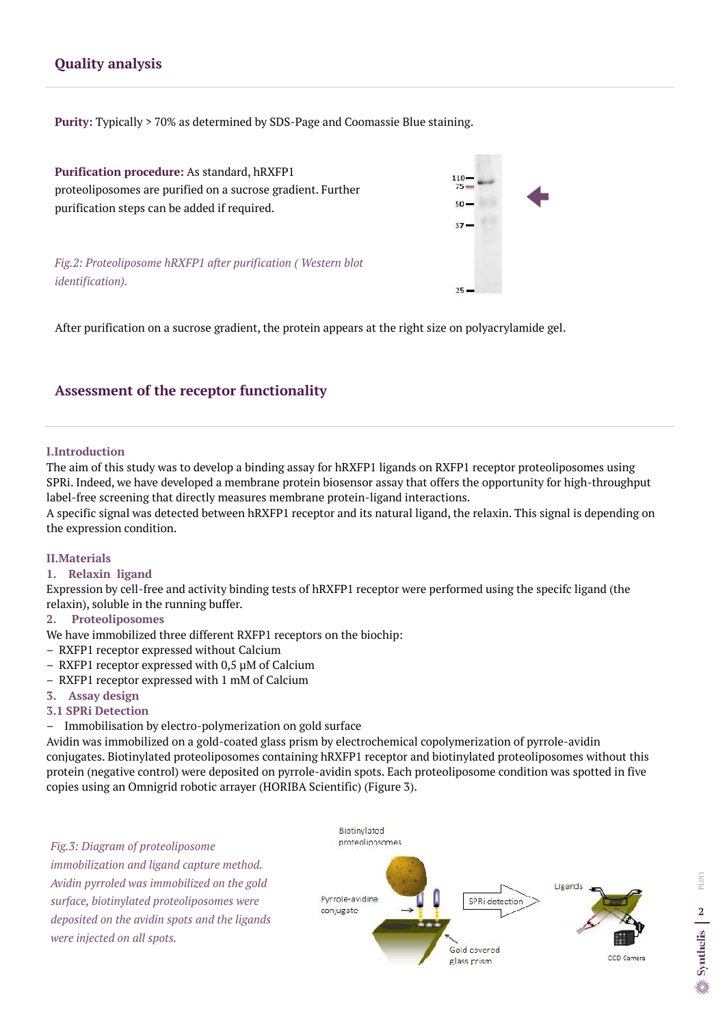#### **I.Introduction**

The aim of this study was to develop a binding assay for hRXFP1 ligands on RXFP1 receptor proteoliposomes using SPRi. Indeed, we have developed a membrane protein biosensor assay that offers the opportunity for high-throughput label-free screening that directly measures membrane protein-ligand interactions.

A specific signal was detected between hRXFP1 receptor and its natural ligand, the relaxin. This signal is depending on the expression condition.

#### **II.Materials**

### **1. Relaxin ligand**

Expression by cell-free and activity binding tests of hRXFP1 receptor were performed using the specifc ligand (the relaxin), soluble in the running buffer.

#### **2. Proteoliposomes**

We have immobilized three different RXFP1 receptors on the biochip:

- RXFP1 receptor expressed without Calcium
- RXFP1 receptor expressed with 0,5 µM of Calcium
- RXFP1 receptor expressed with 1 mM of Calcium
- **3. Assay design**

#### **3.1 SPRi Detection**

Immobilisation by electro-polymerization on gold surface

Avidin was immobilized on a gold-coated glass prism by electrochemical copolymerization of pyrrole-avidin conjugates. Biotinylated proteoliposomes containing hRXFP1 receptor and biotinylated proteoliposomes without this protein (negative control) were deposited on pyrrole-avidin spots. Each proteoliposome condition was spotted in five copies using an Omnigrid robotic arrayer (HORIBA Scientific) (Figure 3).

#### **Assessment of the receptor functionality**

## **Quality analysis**

**Purity:** Typically > 70% as determined by SDS-Page and Coomassie Blue staining.

**Purification procedure:** As standard, hRXFP1 proteoliposomes are purified on a sucrose gradient. Further purification steps can be added if required.

*Fig.2: Proteoliposome hRXFP1 after purification ( Western blot identification).* 



After purification on a sucrose gradient, the protein appears at the right size on polyacrylamide gel.

*Fig.3: Diagram of proteoliposome immobilization and ligand capture method. Avidin pyrroled was immobilized on the gold surface, biotinylated proteoliposomes were deposited on the avidin spots and the ligands were injected on all spots.* 

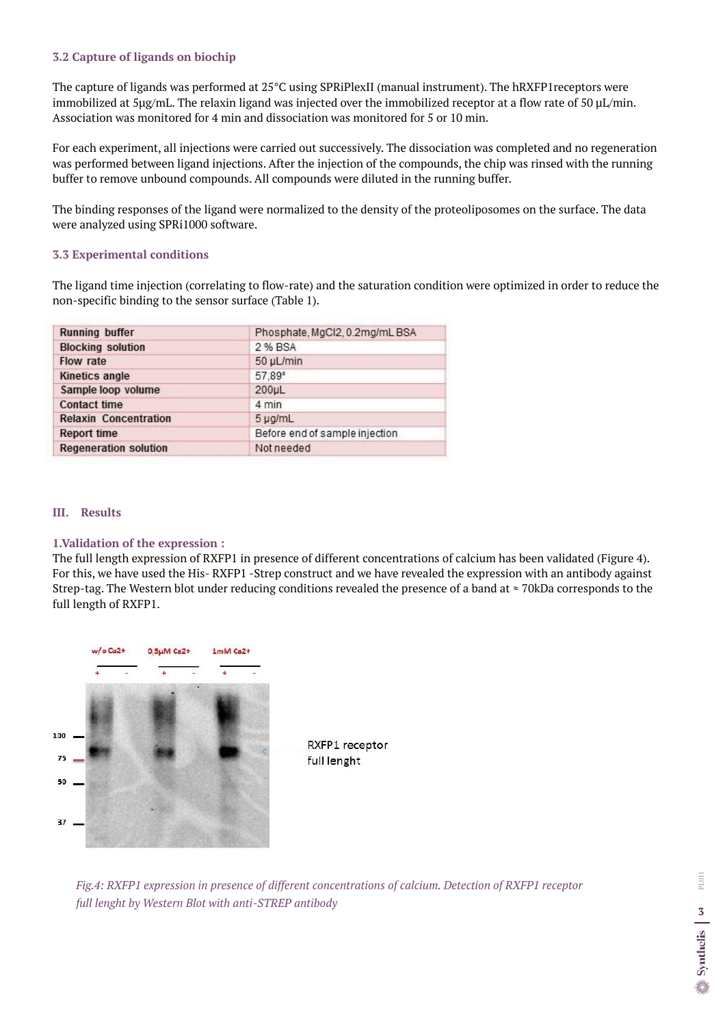#### **III. Results**

**1.Validation of the expression :**  The full length expression of RXFP1 in presence of different concentrations of calcium has been validated (Figure 4). For this, we have used the His- RXFP1 -Strep construct and we have revealed the expression with an antibody against Strep-tag. The Western blot under reducing conditions revealed the presence of a band at ≈ 70kDa corresponds to the full length of RXFP1.



The capture of ligands was performed at 25°C using SPRiPlexII (manual instrument). The hRXFP1receptors were immobilized at 5µg/mL. The relaxin ligand was injected over the immobilized receptor at a flow rate of 50 µL/min. Association was monitored for 4 min and dissociation was monitored for 5 or 10 min.

#### **3.2 Capture of ligands on biochip**

For each experiment, all injections were carried out successively. The dissociation was completed and no regeneration was performed between ligand injections. After the injection of the compounds, the chip was rinsed with the running buffer to remove unbound compounds. All compounds were diluted in the running buffer.

The binding responses of the ligand were normalized to the density of the proteoliposomes on the surface. The data were analyzed using SPRi1000 software.

#### **3.3 Experimental conditions**

The ligand time injection (correlating to flow-rate) and the saturation condition were optimized in order to reduce the non-specific binding to the sensor surface (Table 1).

| <b>Running buffer</b>        | Phosphate, MgCl2, 0.2mg/mL BSA |
|------------------------------|--------------------------------|
| <b>Blocking solution</b>     | 2 % BSA                        |
| <b>Flow rate</b>             | 50 µL/min                      |
| Kinetics angle               | 57.89°                         |
| Sample loop volume           | 200µL                          |
| <b>Contact time</b>          | 4 min                          |
| <b>Relaxin Concentration</b> | 5 µg/mL                        |
| <b>Report time</b>           | Before end of sample injection |
| <b>Regeneration solution</b> | Not needed                     |

*Fig.4: RXFP1 expression in presence of different concentrations of calcium. Detection of RXFP1 receptor full lenght by Western Blot with anti-STREP antibody*